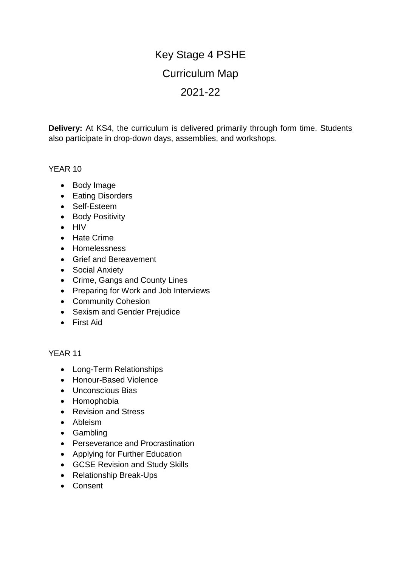## Key Stage 4 PSHE Curriculum Map 2021-22

**Delivery:** At KS4, the curriculum is delivered primarily through form time. Students also participate in drop-down days, assemblies, and workshops.

## YEAR 10

- Body Image
- Eating Disorders
- Self-Esteem
- Body Positivity
- $\bullet$  HIV
- Hate Crime
- Homelessness
- Grief and Bereavement
- Social Anxiety
- Crime, Gangs and County Lines
- Preparing for Work and Job Interviews
- Community Cohesion
- Sexism and Gender Prejudice
- First Aid

## YEAR 11

- Long-Term Relationships
- Honour-Based Violence
- Unconscious Bias
- Homophobia
- Revision and Stress
- Ableism
- Gambling
- Perseverance and Procrastination
- Applying for Further Education
- GCSE Revision and Study Skills
- Relationship Break-Ups
- Consent